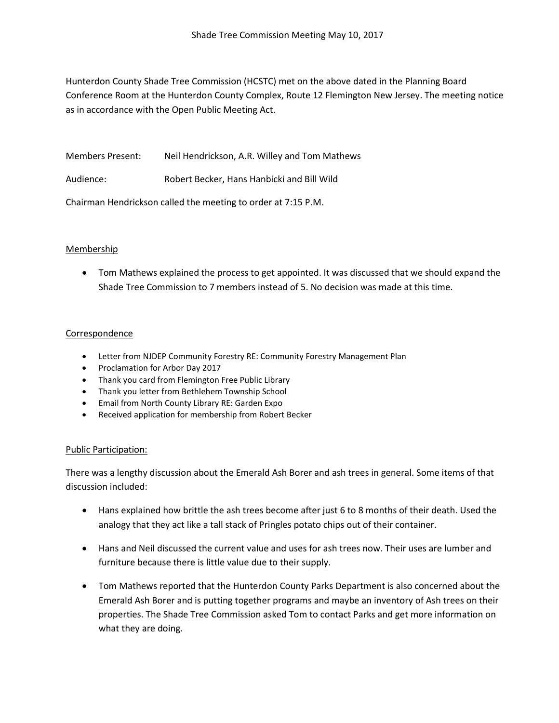Hunterdon County Shade Tree Commission (HCSTC) met on the above dated in the Planning Board Conference Room at the Hunterdon County Complex, Route 12 Flemington New Jersey. The meeting notice as in accordance with the Open Public Meeting Act.

Members Present: Neil Hendrickson, A.R. Willey and Tom Mathews

Audience: Robert Becker, Hans Hanbicki and Bill Wild

Chairman Hendrickson called the meeting to order at 7:15 P.M.

# Membership

• Tom Mathews explained the process to get appointed. It was discussed that we should expand the Shade Tree Commission to 7 members instead of 5. No decision was made at this time.

## Correspondence

- Letter from NJDEP Community Forestry RE: Community Forestry Management Plan
- Proclamation for Arbor Day 2017
- Thank you card from Flemington Free Public Library
- Thank you letter from Bethlehem Township School
- Email from North County Library RE: Garden Expo
- Received application for membership from Robert Becker

### Public Participation:

There was a lengthy discussion about the Emerald Ash Borer and ash trees in general. Some items of that discussion included:

- Hans explained how brittle the ash trees become after just 6 to 8 months of their death. Used the analogy that they act like a tall stack of Pringles potato chips out of their container.
- Hans and Neil discussed the current value and uses for ash trees now. Their uses are lumber and furniture because there is little value due to their supply.
- Tom Mathews reported that the Hunterdon County Parks Department is also concerned about the Emerald Ash Borer and is putting together programs and maybe an inventory of Ash trees on their properties. The Shade Tree Commission asked Tom to contact Parks and get more information on what they are doing.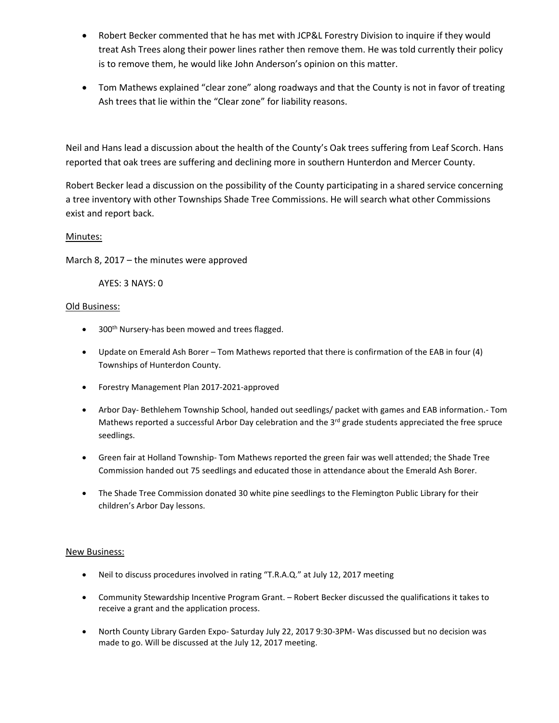- Robert Becker commented that he has met with JCP&L Forestry Division to inquire if they would treat Ash Trees along their power lines rather then remove them. He was told currently their policy is to remove them, he would like John Anderson's opinion on this matter.
- Tom Mathews explained "clear zone" along roadways and that the County is not in favor of treating Ash trees that lie within the "Clear zone" for liability reasons.

Neil and Hans lead a discussion about the health of the County's Oak trees suffering from Leaf Scorch. Hans reported that oak trees are suffering and declining more in southern Hunterdon and Mercer County.

Robert Becker lead a discussion on the possibility of the County participating in a shared service concerning a tree inventory with other Townships Shade Tree Commissions. He will search what other Commissions exist and report back.

## Minutes:

March 8, 2017 – the minutes were approved

AYES: 3 NAYS: 0

## Old Business:

- $\bullet$  300<sup>th</sup> Nursery-has been mowed and trees flagged.
- Update on Emerald Ash Borer Tom Mathews reported that there is confirmation of the EAB in four (4) Townships of Hunterdon County.
- Forestry Management Plan 2017-2021-approved
- Arbor Day- Bethlehem Township School, handed out seedlings/ packet with games and EAB information.- Tom Mathews reported a successful Arbor Day celebration and the 3<sup>rd</sup> grade students appreciated the free spruce seedlings.
- Green fair at Holland Township- Tom Mathews reported the green fair was well attended; the Shade Tree Commission handed out 75 seedlings and educated those in attendance about the Emerald Ash Borer.
- The Shade Tree Commission donated 30 white pine seedlings to the Flemington Public Library for their children's Arbor Day lessons.

### New Business:

- Neil to discuss procedures involved in rating "T.R.A.Q." at July 12, 2017 meeting
- Community Stewardship Incentive Program Grant. Robert Becker discussed the qualifications it takes to receive a grant and the application process.
- North County Library Garden Expo- Saturday July 22, 2017 9:30-3PM- Was discussed but no decision was made to go. Will be discussed at the July 12, 2017 meeting.